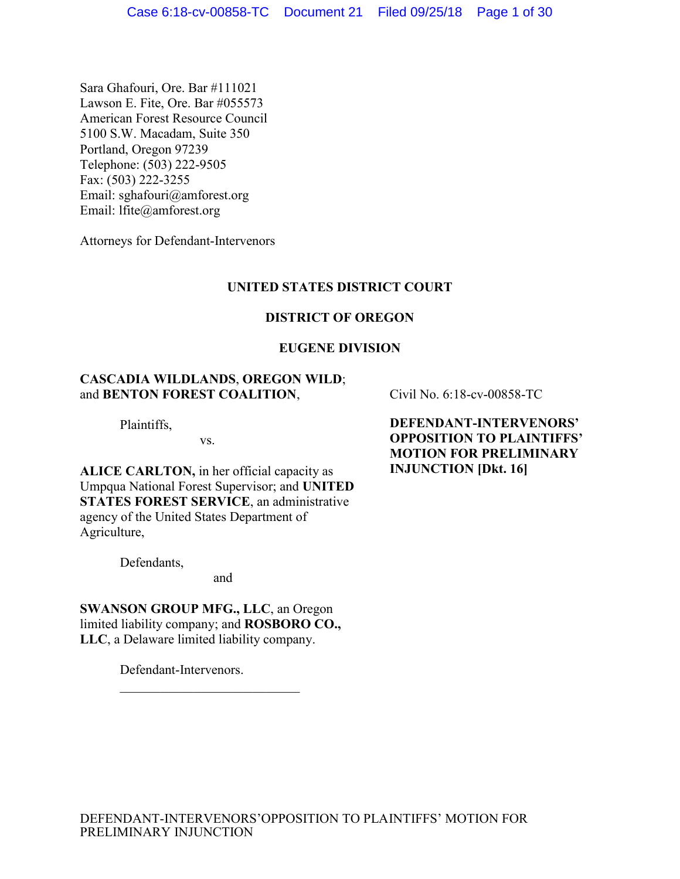Sara Ghafouri, Ore. Bar #111021 Lawson E. Fite, Ore. Bar #055573 American Forest Resource Council 5100 S.W. Macadam, Suite 350 Portland, Oregon 97239 Telephone: (503) 222-9505 Fax:  $(503)$  222-3255 Email: sghafouri@amforest.org Email: lfite@amforest.org

Attorneys for Defendant-Intervenors

## **UNITED STATES DISTRICT COURT**

## **DISTRICT OF OREGON**

## **EUGENE DIVISION**

## **CASCADIA WILDLANDS**, **OREGON WILD**; and **BENTON FOREST COALITION**,

Plaintiffs,

vs.

**ALICE CARLTON,** in her official capacity as Umpqua National Forest Supervisor; and **UNITED STATES FOREST SERVICE**, an administrative agency of the United States Department of Agriculture,

Defendants,

and

**SWANSON GROUP MFG., LLC**, an Oregon limited liability company; and **ROSBORO CO., LLC**, a Delaware limited liability company.

 $\mathcal{L}_\text{max}$  , where  $\mathcal{L}_\text{max}$  and  $\mathcal{L}_\text{max}$ 

Defendant-Intervenors.

Civil No. 6:18-cv-00858-TC

**DEFENDANT-INTERVENORS' OPPOSITION TO PLAINTIFFS' MOTION FOR PRELIMINARY INJUNCTION [Dkt. 16]**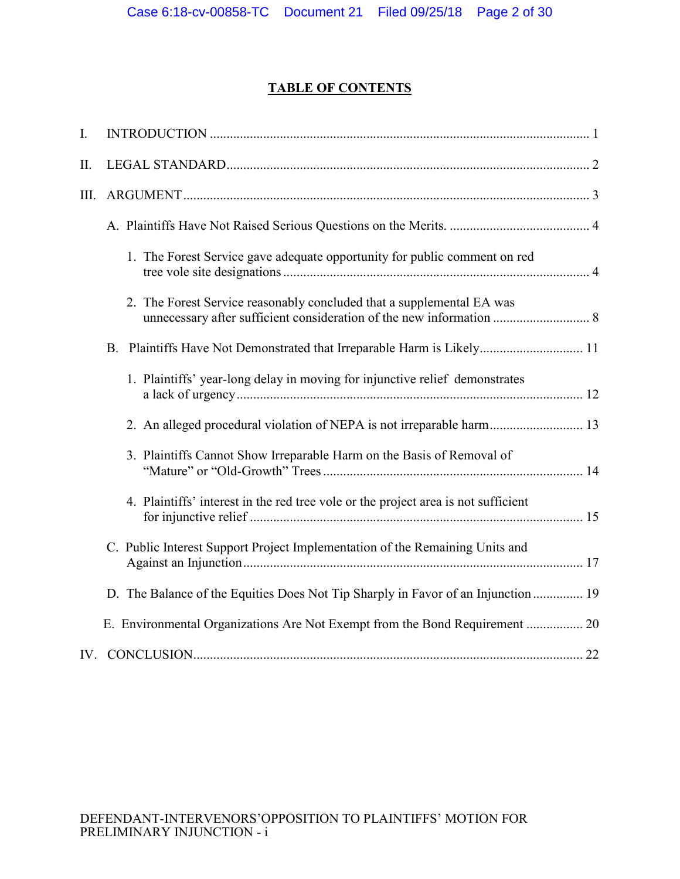# **TABLE OF CONTENTS**

| $\overline{I}$ . |                                                                                    |  |
|------------------|------------------------------------------------------------------------------------|--|
| II.              |                                                                                    |  |
| III.             |                                                                                    |  |
|                  |                                                                                    |  |
|                  | 1. The Forest Service gave adequate opportunity for public comment on red          |  |
|                  | 2. The Forest Service reasonably concluded that a supplemental EA was              |  |
|                  |                                                                                    |  |
|                  | 1. Plaintiffs' year-long delay in moving for injunctive relief demonstrates        |  |
|                  | 2. An alleged procedural violation of NEPA is not irreparable harm 13              |  |
|                  | 3. Plaintiffs Cannot Show Irreparable Harm on the Basis of Removal of              |  |
|                  | 4. Plaintiffs' interest in the red tree vole or the project area is not sufficient |  |
|                  | C. Public Interest Support Project Implementation of the Remaining Units and       |  |
|                  | D. The Balance of the Equities Does Not Tip Sharply in Favor of an Injunction  19  |  |
|                  |                                                                                    |  |
|                  |                                                                                    |  |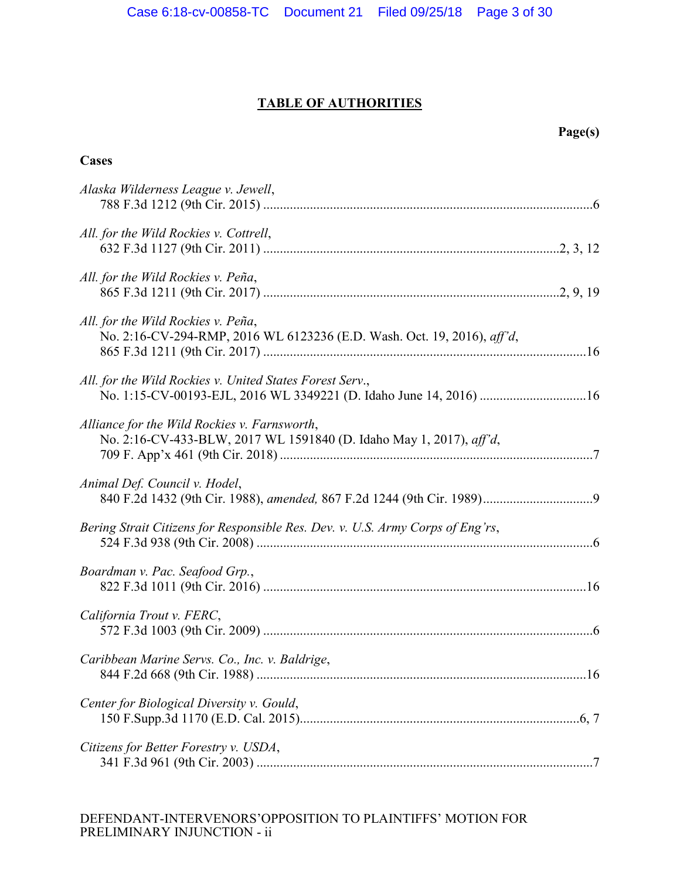# **TABLE OF AUTHORITIES**

**Cases**

| Alaska Wilderness League v. Jewell,                                                                                            |     |
|--------------------------------------------------------------------------------------------------------------------------------|-----|
| All. for the Wild Rockies v. Cottrell,                                                                                         |     |
| All. for the Wild Rockies v. Peña,                                                                                             |     |
| All. for the Wild Rockies v. Peña,<br>No. 2:16-CV-294-RMP, 2016 WL 6123236 (E.D. Wash. Oct. 19, 2016), aff'd,                  |     |
| All. for the Wild Rockies v. United States Forest Serv.,<br>No. 1:15-CV-00193-EJL, 2016 WL 3349221 (D. Idaho June 14, 2016) 16 |     |
| Alliance for the Wild Rockies v. Farnsworth,<br>No. 2:16-CV-433-BLW, 2017 WL 1591840 (D. Idaho May 1, 2017), aff'd,            |     |
| Animal Def. Council v. Hodel,                                                                                                  |     |
| Bering Strait Citizens for Responsible Res. Dev. v. U.S. Army Corps of Eng'rs,                                                 |     |
| Boardman v. Pac. Seafood Grp.,                                                                                                 |     |
| California Trout v. FERC,                                                                                                      |     |
| Caribbean Marine Servs. Co., Inc. v. Baldrige,<br>844 F.2d 668 (9th Cir. 1988)                                                 | .16 |
| Center for Biological Diversity v. Gould,                                                                                      |     |
| Citizens for Better Forestry v. USDA,                                                                                          |     |

## DEFENDANT-INTERVENORS'OPPOSITION TO PLAINTIFFS' MOTION FOR PRELIMINARY INJUNCTION - ii

# **Page(s)**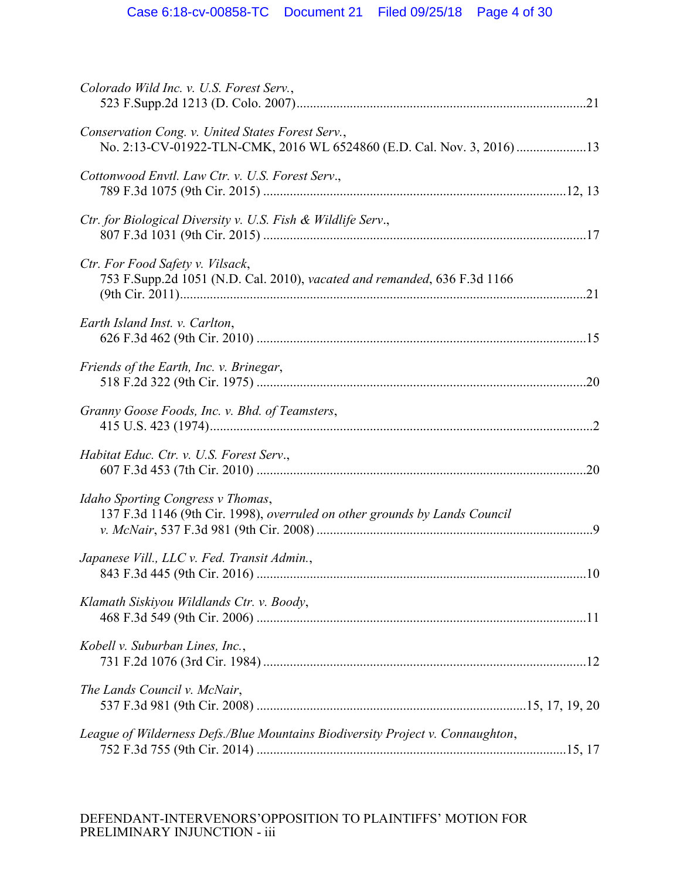| Colorado Wild Inc. v. U.S. Forest Serv.,                                                                                    |  |
|-----------------------------------------------------------------------------------------------------------------------------|--|
| Conservation Cong. v. United States Forest Serv.,<br>No. 2:13-CV-01922-TLN-CMK, 2016 WL 6524860 (E.D. Cal. Nov. 3, 2016) 13 |  |
| Cottonwood Envtl. Law Ctr. v. U.S. Forest Serv.,                                                                            |  |
| Ctr. for Biological Diversity v. U.S. Fish & Wildlife Serv.,                                                                |  |
| Ctr. For Food Safety v. Vilsack,<br>753 F.Supp.2d 1051 (N.D. Cal. 2010), vacated and remanded, 636 F.3d 1166                |  |
| Earth Island Inst. v. Carlton,                                                                                              |  |
| Friends of the Earth, Inc. v. Brinegar,                                                                                     |  |
| Granny Goose Foods, Inc. v. Bhd. of Teamsters,                                                                              |  |
| Habitat Educ. Ctr. v. U.S. Forest Serv.,                                                                                    |  |
| Idaho Sporting Congress v Thomas,<br>137 F.3d 1146 (9th Cir. 1998), overruled on other grounds by Lands Council             |  |
| Japanese Vill., LLC v. Fed. Transit Admin.,                                                                                 |  |
| Klamath Siskiyou Wildlands Ctr. v. Boody,                                                                                   |  |
| Kobell v. Suburban Lines, Inc.,                                                                                             |  |
| The Lands Council v. McNair,                                                                                                |  |
| League of Wilderness Defs./Blue Mountains Biodiversity Project v. Connaughton,                                              |  |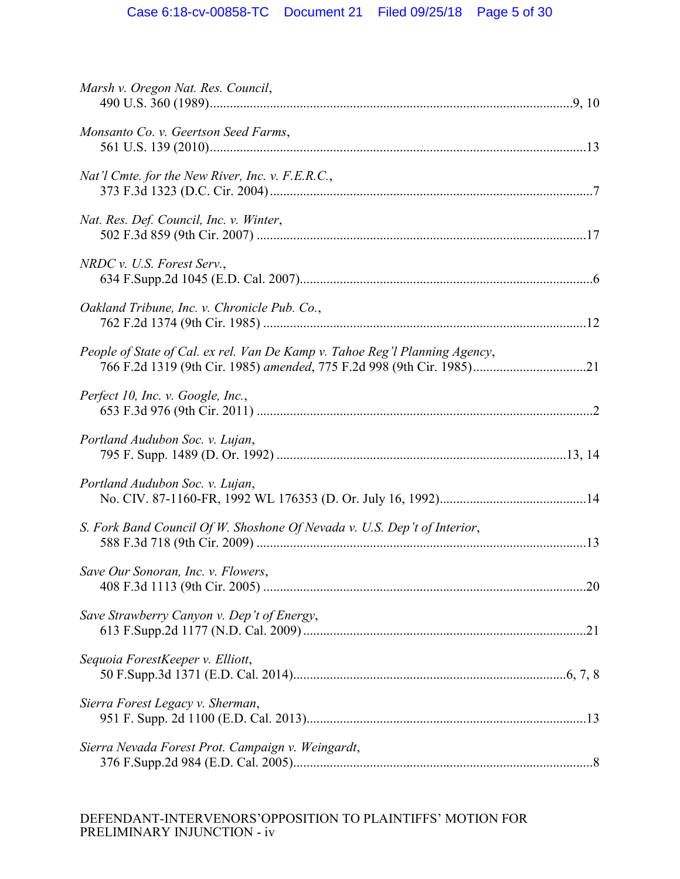| Marsh v. Oregon Nat. Res. Council,                                          |  |
|-----------------------------------------------------------------------------|--|
| Monsanto Co. v. Geertson Seed Farms,                                        |  |
| Nat'l Cmte. for the New River, Inc. v. F.E.R.C.,                            |  |
| Nat. Res. Def. Council, Inc. v. Winter,                                     |  |
| $NRDC$ v. U.S. Forest Serv.,                                                |  |
| Oakland Tribune, Inc. v. Chronicle Pub. Co.,                                |  |
| People of State of Cal. ex rel. Van De Kamp v. Tahoe Reg'l Planning Agency, |  |
| Perfect 10, Inc. v. Google, Inc.,                                           |  |
| Portland Audubon Soc. v. Lujan,                                             |  |
| Portland Audubon Soc. v. Lujan,                                             |  |
| S. Fork Band Council Of W. Shoshone Of Nevada v. U.S. Dep't of Interior,    |  |
| Save Our Sonoran, Inc. v. Flowers,                                          |  |
| Save Strawberry Canyon v. Dep't of Energy,                                  |  |
| Sequoia ForestKeeper v. Elliott,                                            |  |
| Sierra Forest Legacy v. Sherman,                                            |  |
| Sierra Nevada Forest Prot. Campaign v. Weingardt,                           |  |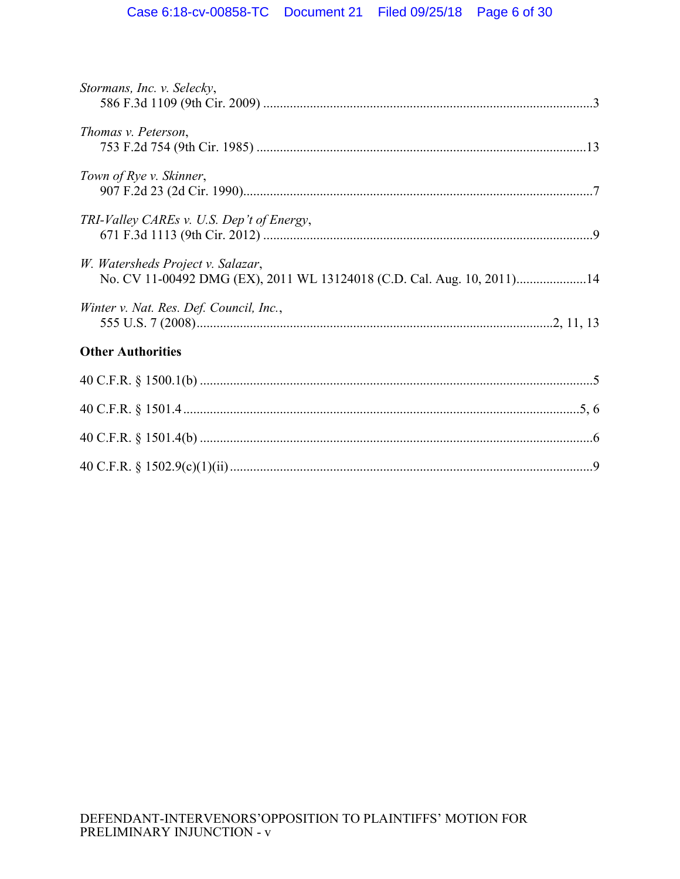| Stormans, Inc. v. Selecky,                                                                                  |  |
|-------------------------------------------------------------------------------------------------------------|--|
| Thomas v. Peterson,                                                                                         |  |
| Town of Rye v. Skinner,                                                                                     |  |
| TRI-Valley CAREs v. U.S. Dep't of Energy,                                                                   |  |
| W. Watersheds Project v. Salazar,<br>No. CV 11-00492 DMG (EX), 2011 WL 13124018 (C.D. Cal. Aug. 10, 2011)14 |  |
| Winter v. Nat. Res. Def. Council, Inc.,                                                                     |  |
| <b>Other Authorities</b>                                                                                    |  |
|                                                                                                             |  |
|                                                                                                             |  |
|                                                                                                             |  |
|                                                                                                             |  |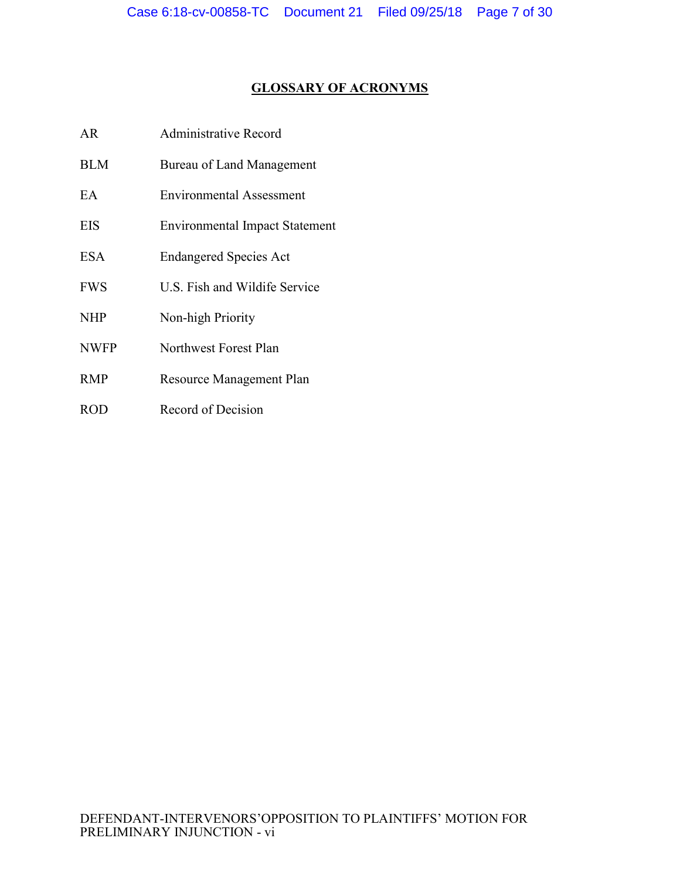# **GLOSSARY OF ACRONYMS**

- AR Administrative Record
- BLM Bureau of Land Management
- EA Environmental Assessment
- EIS Environmental Impact Statement
- ESA Endangered Species Act
- FWS U.S. Fish and Wildife Service
- NHP Non-high Priority
- NWFP Northwest Forest Plan
- RMP Resource Management Plan
- ROD Record of Decision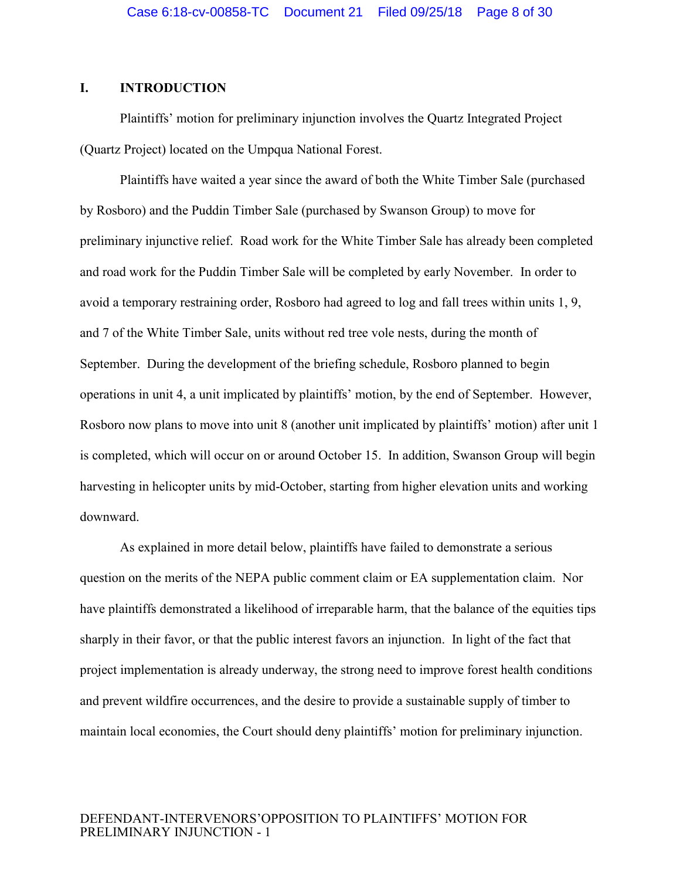## <span id="page-7-0"></span>**I. INTRODUCTION**

Plaintiffs' motion for preliminary injunction involves the Quartz Integrated Project (Quartz Project) located on the Umpqua National Forest.

Plaintiffs have waited a year since the award of both the White Timber Sale (purchased by Rosboro) and the Puddin Timber Sale (purchased by Swanson Group) to move for preliminary injunctive relief. Road work for the White Timber Sale has already been completed and road work for the Puddin Timber Sale will be completed by early November. In order to avoid a temporary restraining order, Rosboro had agreed to log and fall trees within units 1, 9, and 7 of the White Timber Sale, units without red tree vole nests, during the month of September. During the development of the briefing schedule, Rosboro planned to begin operations in unit 4, a unit implicated by plaintiffs' motion, by the end of September. However, Rosboro now plans to move into unit 8 (another unit implicated by plaintiffs' motion) after unit 1 is completed, which will occur on or around October 15. In addition, Swanson Group will begin harvesting in helicopter units by mid-October, starting from higher elevation units and working downward.

As explained in more detail below, plaintiffs have failed to demonstrate a serious question on the merits of the NEPA public comment claim or EA supplementation claim. Nor have plaintiffs demonstrated a likelihood of irreparable harm, that the balance of the equities tips sharply in their favor, or that the public interest favors an injunction. In light of the fact that project implementation is already underway, the strong need to improve forest health conditions and prevent wildfire occurrences, and the desire to provide a sustainable supply of timber to maintain local economies, the Court should deny plaintiffs' motion for preliminary injunction.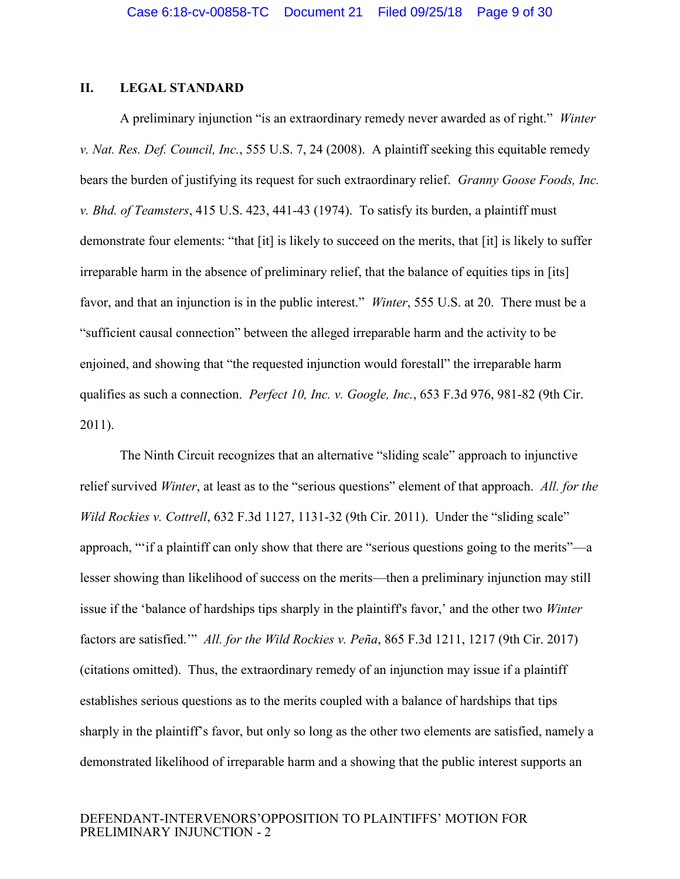## <span id="page-8-0"></span>**II. LEGAL STANDARD**

<span id="page-8-5"></span><span id="page-8-3"></span>A preliminary injunction "is an extraordinary remedy never awarded as of right." *Winter v. Nat. Res. Def. Council, Inc.*, 555 U.S. 7, 24 (2008). A plaintiff seeking this equitable remedy bears the burden of justifying its request for such extraordinary relief. *Granny Goose Foods, Inc. v. Bhd. of Teamsters*, 415 U.S. 423, 441-43 (1974). To satisfy its burden, a plaintiff must demonstrate four elements: "that [it] is likely to succeed on the merits, that [it] is likely to suffer irreparable harm in the absence of preliminary relief, that the balance of equities tips in [its] favor, and that an injunction is in the public interest." *Winter*, 555 U.S. at 20. There must be a "sufficient causal connection" between the alleged irreparable harm and the activity to be enjoined, and showing that "the requested injunction would forestall" the irreparable harm qualifies as such a connection. *Perfect 10, Inc. v. Google, Inc.*, 653 F.3d 976, 981-82 (9th Cir. 2011).

<span id="page-8-4"></span><span id="page-8-2"></span><span id="page-8-1"></span>The Ninth Circuit recognizes that an alternative "sliding scale" approach to injunctive relief survived *Winter*, at least as to the "serious questions" element of that approach. *All. for the Wild Rockies v. Cottrell*, 632 F.3d 1127, 1131-32 (9th Cir. 2011). Under the "sliding scale" approach, "'if a plaintiff can only show that there are "serious questions going to the merits"—a lesser showing than likelihood of success on the merits—then a preliminary injunction may still issue if the 'balance of hardships tips sharply in the plaintiff's favor,' and the other two *Winter* factors are satisfied.'" *All. for the Wild Rockies v. Peña*, 865 F.3d 1211, 1217 (9th Cir. 2017) (citations omitted). Thus, the extraordinary remedy of an injunction may issue if a plaintiff establishes serious questions as to the merits coupled with a balance of hardships that tips sharply in the plaintiff's favor, but only so long as the other two elements are satisfied, namely a demonstrated likelihood of irreparable harm and a showing that the public interest supports an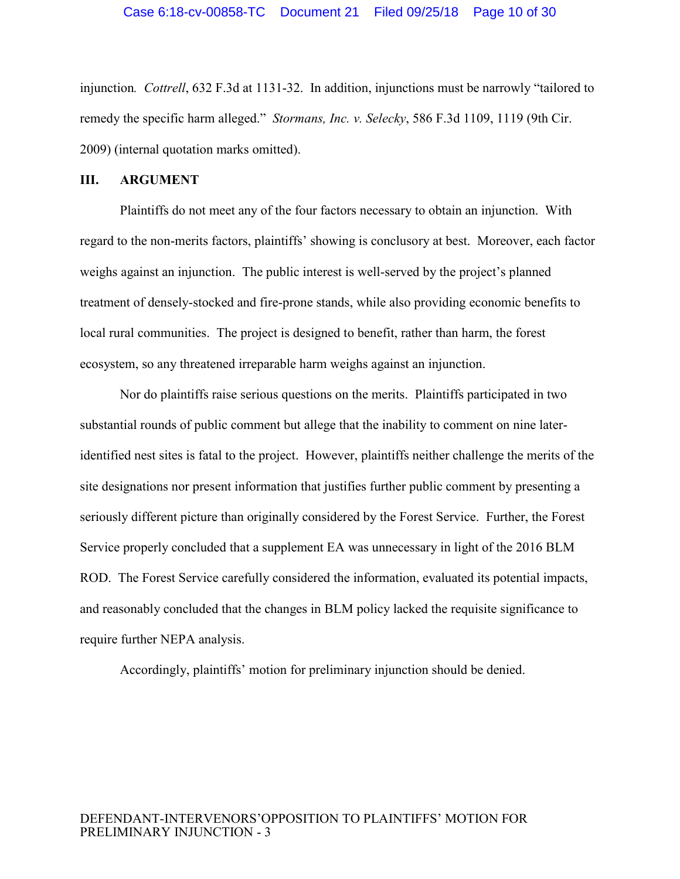<span id="page-9-2"></span><span id="page-9-1"></span>injunction*. Cottrell*, 632 F.3d at 1131-32. In addition, injunctions must be narrowly "tailored to remedy the specific harm alleged." *Stormans, Inc. v. Selecky*, 586 F.3d 1109, 1119 (9th Cir. 2009) (internal quotation marks omitted).

#### <span id="page-9-0"></span>**III. ARGUMENT**

Plaintiffs do not meet any of the four factors necessary to obtain an injunction. With regard to the non-merits factors, plaintiffs' showing is conclusory at best. Moreover, each factor weighs against an injunction. The public interest is well-served by the project's planned treatment of densely-stocked and fire-prone stands, while also providing economic benefits to local rural communities. The project is designed to benefit, rather than harm, the forest ecosystem, so any threatened irreparable harm weighs against an injunction.

Nor do plaintiffs raise serious questions on the merits. Plaintiffs participated in two substantial rounds of public comment but allege that the inability to comment on nine lateridentified nest sites is fatal to the project. However, plaintiffs neither challenge the merits of the site designations nor present information that justifies further public comment by presenting a seriously different picture than originally considered by the Forest Service. Further, the Forest Service properly concluded that a supplement EA was unnecessary in light of the 2016 BLM ROD. The Forest Service carefully considered the information, evaluated its potential impacts, and reasonably concluded that the changes in BLM policy lacked the requisite significance to require further NEPA analysis.

Accordingly, plaintiffs' motion for preliminary injunction should be denied.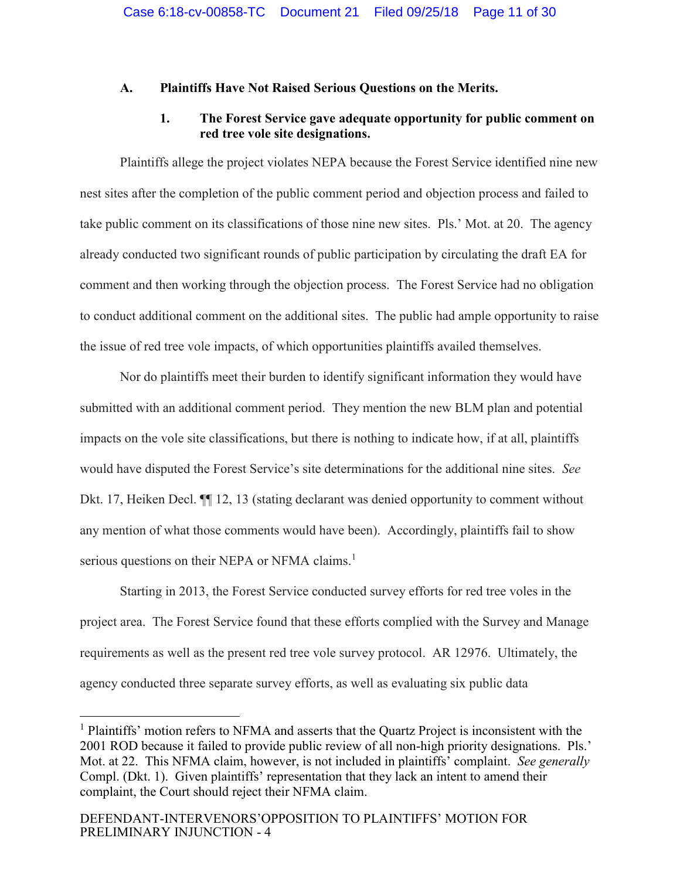## <span id="page-10-0"></span>**A. Plaintiffs Have Not Raised Serious Questions on the Merits.**

## <span id="page-10-1"></span>**1. The Forest Service gave adequate opportunity for public comment on red tree vole site designations.**

Plaintiffs allege the project violates NEPA because the Forest Service identified nine new nest sites after the completion of the public comment period and objection process and failed to take public comment on its classifications of those nine new sites. Pls.' Mot. at 20. The agency already conducted two significant rounds of public participation by circulating the draft EA for comment and then working through the objection process. The Forest Service had no obligation to conduct additional comment on the additional sites. The public had ample opportunity to raise the issue of red tree vole impacts, of which opportunities plaintiffs availed themselves.

Nor do plaintiffs meet their burden to identify significant information they would have submitted with an additional comment period. They mention the new BLM plan and potential impacts on the vole site classifications, but there is nothing to indicate how, if at all, plaintiffs would have disputed the Forest Service's site determinations for the additional nine sites. *See*  Dkt. 17, Heiken Decl.  $\P$  12, 13 (stating declarant was denied opportunity to comment without any mention of what those comments would have been). Accordingly, plaintiffs fail to show serious questions on their NEPA or NFMA claims.<sup>1</sup>

Starting in 2013, the Forest Service conducted survey efforts for red tree voles in the project area. The Forest Service found that these efforts complied with the Survey and Manage requirements as well as the present red tree vole survey protocol. AR 12976. Ultimately, the agency conducted three separate survey efforts, as well as evaluating six public data

 $\overline{a}$ 

<sup>&</sup>lt;sup>1</sup> Plaintiffs' motion refers to NFMA and asserts that the Quartz Project is inconsistent with the 2001 ROD because it failed to provide public review of all non-high priority designations. Pls.' Mot. at 22. This NFMA claim, however, is not included in plaintiffs' complaint. *See generally* Compl. (Dkt. 1). Given plaintiffs' representation that they lack an intent to amend their complaint, the Court should reject their NFMA claim.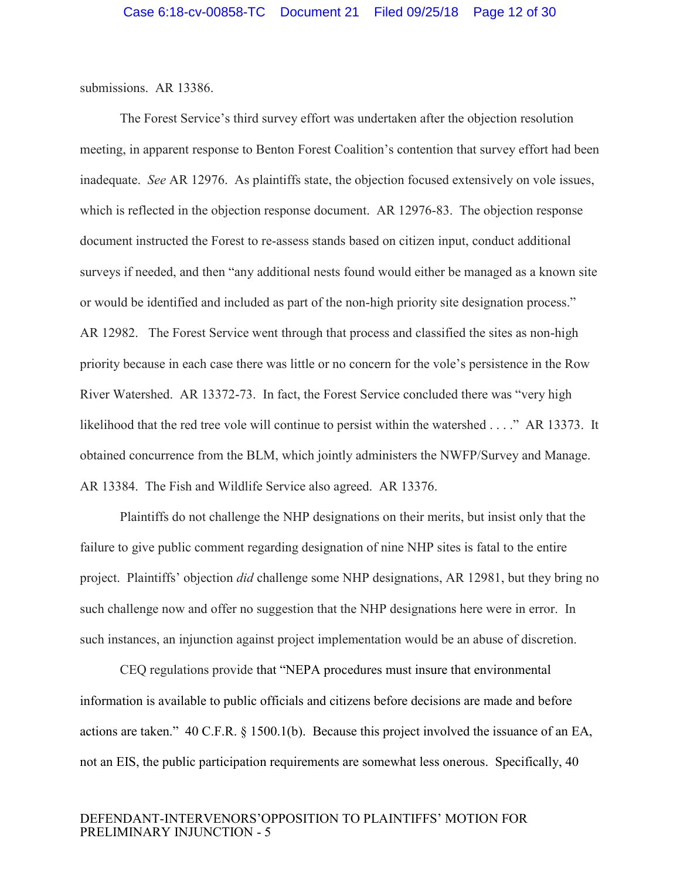submissions. AR 13386.

The Forest Service's third survey effort was undertaken after the objection resolution meeting, in apparent response to Benton Forest Coalition's contention that survey effort had been inadequate. *See* AR 12976. As plaintiffs state, the objection focused extensively on vole issues, which is reflected in the objection response document. AR 12976-83. The objection response document instructed the Forest to re-assess stands based on citizen input, conduct additional surveys if needed, and then "any additional nests found would either be managed as a known site or would be identified and included as part of the non-high priority site designation process." AR 12982. The Forest Service went through that process and classified the sites as non-high priority because in each case there was little or no concern for the vole's persistence in the Row River Watershed. AR 13372-73. In fact, the Forest Service concluded there was "very high likelihood that the red tree vole will continue to persist within the watershed . . . ." AR 13373. It obtained concurrence from the BLM, which jointly administers the NWFP/Survey and Manage. AR 13384. The Fish and Wildlife Service also agreed. AR 13376.

Plaintiffs do not challenge the NHP designations on their merits, but insist only that the failure to give public comment regarding designation of nine NHP sites is fatal to the entire project. Plaintiffs' objection *did* challenge some NHP designations, AR 12981, but they bring no such challenge now and offer no suggestion that the NHP designations here were in error. In such instances, an injunction against project implementation would be an abuse of discretion.

<span id="page-11-1"></span><span id="page-11-0"></span>CEQ regulations provide that "NEPA procedures must insure that environmental information is available to public officials and citizens before decisions are made and before actions are taken." 40 C.F.R. § 1500.1(b). Because this project involved the issuance of an EA, not an EIS, the public participation requirements are somewhat less onerous. Specifically, 40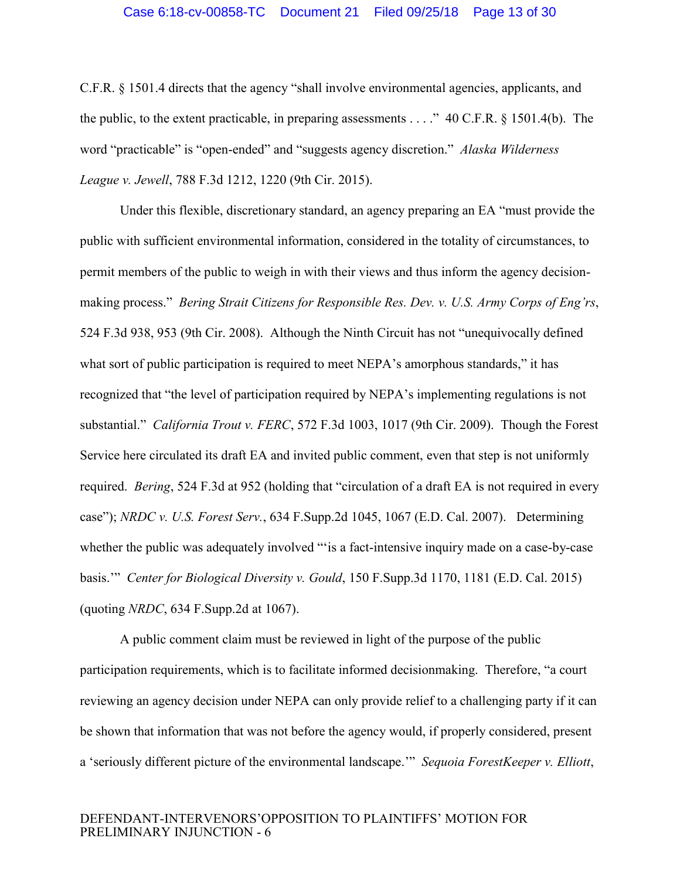#### <span id="page-12-6"></span><span id="page-12-0"></span>Case 6:18-cv-00858-TC Document 21 Filed 09/25/18 Page 13 of 30

C.F.R. § 1501.4 directs that the agency "shall involve environmental agencies, applicants, and the public, to the extent practicable, in preparing assessments . . . ." 40 C.F.R. § 1501.4(b). The word "practicable" is "open-ended" and "suggests agency discretion." *Alaska Wilderness League v. Jewell*, 788 F.3d 1212, 1220 (9th Cir. 2015).

<span id="page-12-2"></span><span id="page-12-1"></span>Under this flexible, discretionary standard, an agency preparing an EA "must provide the public with sufficient environmental information, considered in the totality of circumstances, to permit members of the public to weigh in with their views and thus inform the agency decisionmaking process." *Bering Strait Citizens for Responsible Res. Dev. v. U.S. Army Corps of Eng'rs*, 524 F.3d 938, 953 (9th Cir. 2008). Although the Ninth Circuit has not "unequivocally defined what sort of public participation is required to meet NEPA's amorphous standards," it has recognized that "the level of participation required by NEPA's implementing regulations is not substantial." *California Trout v. FERC*, 572 F.3d 1003, 1017 (9th Cir. 2009). Though the Forest Service here circulated its draft EA and invited public comment, even that step is not uniformly required. *Bering*, 524 F.3d at 952 (holding that "circulation of a draft EA is not required in every case"); *NRDC v. U.S. Forest Serv.*, 634 F.Supp.2d 1045, 1067 (E.D. Cal. 2007). Determining whether the public was adequately involved ""is a fact-intensive inquiry made on a case-by-case basis.'" *Center for Biological Diversity v. Gould*, 150 F.Supp.3d 1170, 1181 (E.D. Cal. 2015) (quoting *NRDC*, 634 F.Supp.2d at 1067).

<span id="page-12-5"></span><span id="page-12-4"></span><span id="page-12-3"></span>A public comment claim must be reviewed in light of the purpose of the public participation requirements, which is to facilitate informed decisionmaking. Therefore, "a court reviewing an agency decision under NEPA can only provide relief to a challenging party if it can be shown that information that was not before the agency would, if properly considered, present a 'seriously different picture of the environmental landscape.'" *Sequoia ForestKeeper v. Elliott*,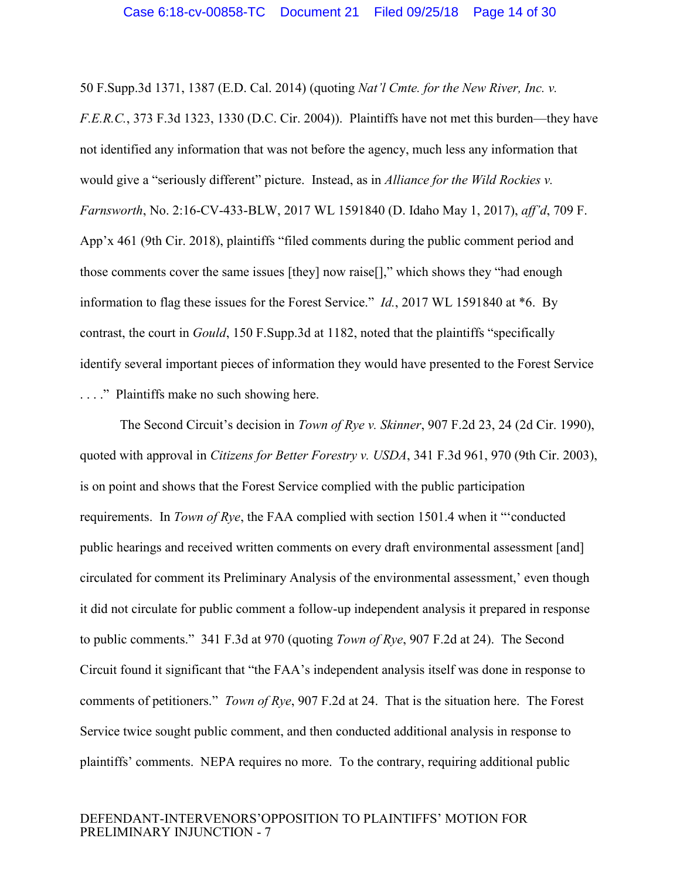<span id="page-13-3"></span><span id="page-13-0"></span>50 F.Supp.3d 1371, 1387 (E.D. Cal. 2014) (quoting *Nat'l Cmte. for the New River, Inc. v. F.E.R.C.*, 373 F.3d 1323, 1330 (D.C. Cir. 2004)). Plaintiffs have not met this burden—they have not identified any information that was not before the agency, much less any information that would give a "seriously different" picture. Instead, as in *Alliance for the Wild Rockies v. Farnsworth*, No. 2:16-CV-433-BLW, 2017 WL 1591840 (D. Idaho May 1, 2017), *aff'd*, 709 F. App'x 461 (9th Cir. 2018), plaintiffs "filed comments during the public comment period and those comments cover the same issues [they] now raise[]," which shows they "had enough information to flag these issues for the Forest Service." *Id.*, 2017 WL 1591840 at \*6. By contrast, the court in *Gould*, 150 F.Supp.3d at 1182, noted that the plaintiffs "specifically identify several important pieces of information they would have presented to the Forest Service . . . ." Plaintiffs make no such showing here.

<span id="page-13-4"></span><span id="page-13-2"></span><span id="page-13-1"></span>The Second Circuit's decision in *Town of Rye v. Skinner*, 907 F.2d 23, 24 (2d Cir. 1990), quoted with approval in *Citizens for Better Forestry v. USDA*, 341 F.3d 961, 970 (9th Cir. 2003), is on point and shows that the Forest Service complied with the public participation requirements. In *Town of Rye*, the FAA complied with section 1501.4 when it "'conducted public hearings and received written comments on every draft environmental assessment [and] circulated for comment its Preliminary Analysis of the environmental assessment,' even though it did not circulate for public comment a follow-up independent analysis it prepared in response to public comments." 341 F.3d at 970 (quoting *Town of Rye*, 907 F.2d at 24). The Second Circuit found it significant that "the FAA's independent analysis itself was done in response to comments of petitioners." *Town of Rye*, 907 F.2d at 24. That is the situation here. The Forest Service twice sought public comment, and then conducted additional analysis in response to plaintiffs' comments. NEPA requires no more. To the contrary, requiring additional public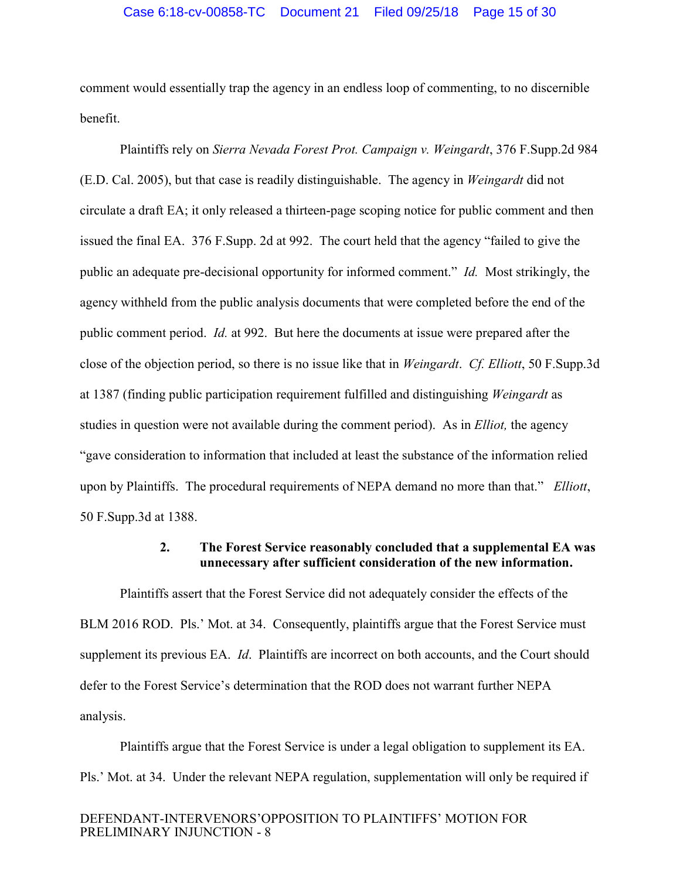#### Case 6:18-cv-00858-TC Document 21 Filed 09/25/18 Page 15 of 30

comment would essentially trap the agency in an endless loop of commenting, to no discernible benefit.

<span id="page-14-2"></span>Plaintiffs rely on *Sierra Nevada Forest Prot. Campaign v. Weingardt*, 376 F.Supp.2d 984 (E.D. Cal. 2005), but that case is readily distinguishable. The agency in *Weingardt* did not circulate a draft EA; it only released a thirteen-page scoping notice for public comment and then issued the final EA. 376 F.Supp. 2d at 992. The court held that the agency "failed to give the public an adequate pre-decisional opportunity for informed comment." *Id.* Most strikingly, the agency withheld from the public analysis documents that were completed before the end of the public comment period. *Id.* at 992. But here the documents at issue were prepared after the close of the objection period, so there is no issue like that in *Weingardt*. *Cf. Elliott*, 50 F.Supp.3d at 1387 (finding public participation requirement fulfilled and distinguishing *Weingardt* as studies in question were not available during the comment period). As in *Elliot,* the agency "gave consideration to information that included at least the substance of the information relied upon by Plaintiffs. The procedural requirements of NEPA demand no more than that." *Elliott*, 50 F.Supp.3d at 1388.

### <span id="page-14-1"></span><span id="page-14-0"></span>**2. The Forest Service reasonably concluded that a supplemental EA was unnecessary after sufficient consideration of the new information.**

Plaintiffs assert that the Forest Service did not adequately consider the effects of the BLM 2016 ROD. Pls.' Mot. at 34. Consequently, plaintiffs argue that the Forest Service must supplement its previous EA. *Id*. Plaintiffs are incorrect on both accounts, and the Court should defer to the Forest Service's determination that the ROD does not warrant further NEPA analysis.

Plaintiffs argue that the Forest Service is under a legal obligation to supplement its EA. Pls.' Mot. at 34. Under the relevant NEPA regulation, supplementation will only be required if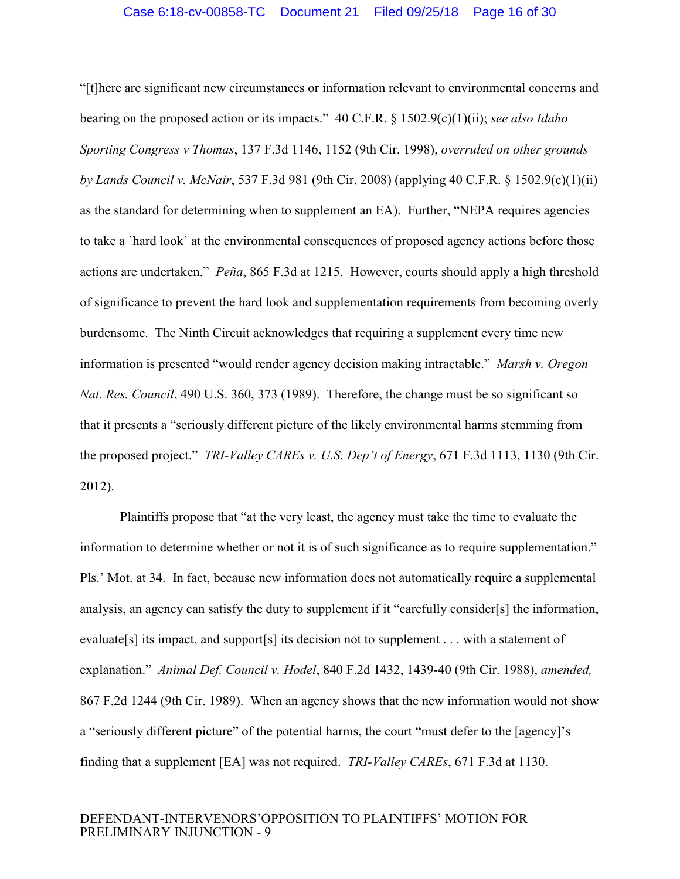<span id="page-15-5"></span><span id="page-15-2"></span><span id="page-15-0"></span>"[t]here are significant new circumstances or information relevant to environmental concerns and bearing on the proposed action or its impacts." 40 C.F.R. § 1502.9(c)(1)(ii); *see also Idaho Sporting Congress v Thomas*, 137 F.3d 1146, 1152 (9th Cir. 1998), *overruled on other grounds by Lands Council v. McNair*, 537 F.3d 981 (9th Cir. 2008) (applying 40 C.F.R. § 1502.9(c)(1)(ii) as the standard for determining when to supplement an EA). Further, "NEPA requires agencies to take a 'hard look' at the environmental consequences of proposed agency actions before those actions are undertaken." *Peña*, 865 F.3d at 1215. However, courts should apply a high threshold of significance to prevent the hard look and supplementation requirements from becoming overly burdensome. The Ninth Circuit acknowledges that requiring a supplement every time new information is presented "would render agency decision making intractable." *Marsh v. Oregon Nat. Res. Council*, 490 U.S. 360, 373 (1989). Therefore, the change must be so significant so that it presents a "seriously different picture of the likely environmental harms stemming from the proposed project." *TRI-Valley CAREs v. U.S. Dep't of Energy*, 671 F.3d 1113, 1130 (9th Cir. 2012).

<span id="page-15-4"></span><span id="page-15-3"></span><span id="page-15-1"></span>Plaintiffs propose that "at the very least, the agency must take the time to evaluate the information to determine whether or not it is of such significance as to require supplementation." Pls.' Mot. at 34. In fact, because new information does not automatically require a supplemental analysis, an agency can satisfy the duty to supplement if it "carefully consider[s] the information, evaluate[s] its impact, and support[s] its decision not to supplement . . . with a statement of explanation." *Animal Def. Council v. Hodel*, 840 F.2d 1432, 1439-40 (9th Cir. 1988), *amended,* 867 F.2d 1244 (9th Cir. 1989). When an agency shows that the new information would not show a "seriously different picture" of the potential harms, the court "must defer to the [agency]'s finding that a supplement [EA] was not required. *TRI-Valley CAREs*, 671 F.3d at 1130.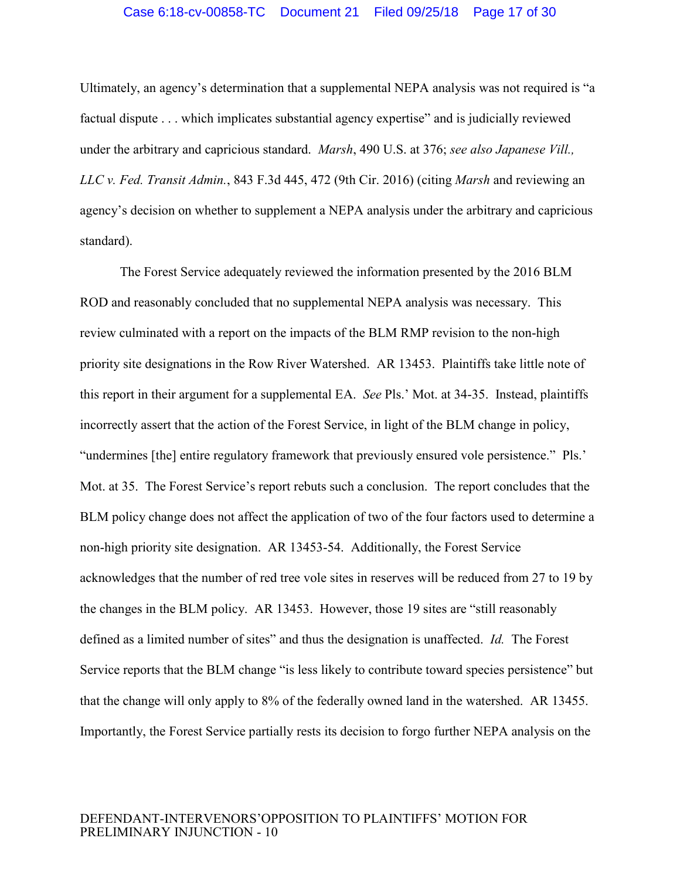#### <span id="page-16-1"></span><span id="page-16-0"></span>Case 6:18-cv-00858-TC Document 21 Filed 09/25/18 Page 17 of 30

Ultimately, an agency's determination that a supplemental NEPA analysis was not required is "a factual dispute . . . which implicates substantial agency expertise" and is judicially reviewed under the arbitrary and capricious standard. *Marsh*, 490 U.S. at 376; *see also Japanese Vill., LLC v. Fed. Transit Admin.*, 843 F.3d 445, 472 (9th Cir. 2016) (citing *Marsh* and reviewing an agency's decision on whether to supplement a NEPA analysis under the arbitrary and capricious standard).

The Forest Service adequately reviewed the information presented by the 2016 BLM ROD and reasonably concluded that no supplemental NEPA analysis was necessary. This review culminated with a report on the impacts of the BLM RMP revision to the non-high priority site designations in the Row River Watershed. AR 13453. Plaintiffs take little note of this report in their argument for a supplemental EA. *See* Pls.' Mot. at 34-35. Instead, plaintiffs incorrectly assert that the action of the Forest Service, in light of the BLM change in policy, "undermines [the] entire regulatory framework that previously ensured vole persistence." Pls.' Mot. at 35. The Forest Service's report rebuts such a conclusion. The report concludes that the BLM policy change does not affect the application of two of the four factors used to determine a non-high priority site designation. AR 13453-54. Additionally, the Forest Service acknowledges that the number of red tree vole sites in reserves will be reduced from 27 to 19 by the changes in the BLM policy. AR 13453. However, those 19 sites are "still reasonably defined as a limited number of sites" and thus the designation is unaffected. *Id.* The Forest Service reports that the BLM change "is less likely to contribute toward species persistence" but that the change will only apply to 8% of the federally owned land in the watershed. AR 13455. Importantly, the Forest Service partially rests its decision to forgo further NEPA analysis on the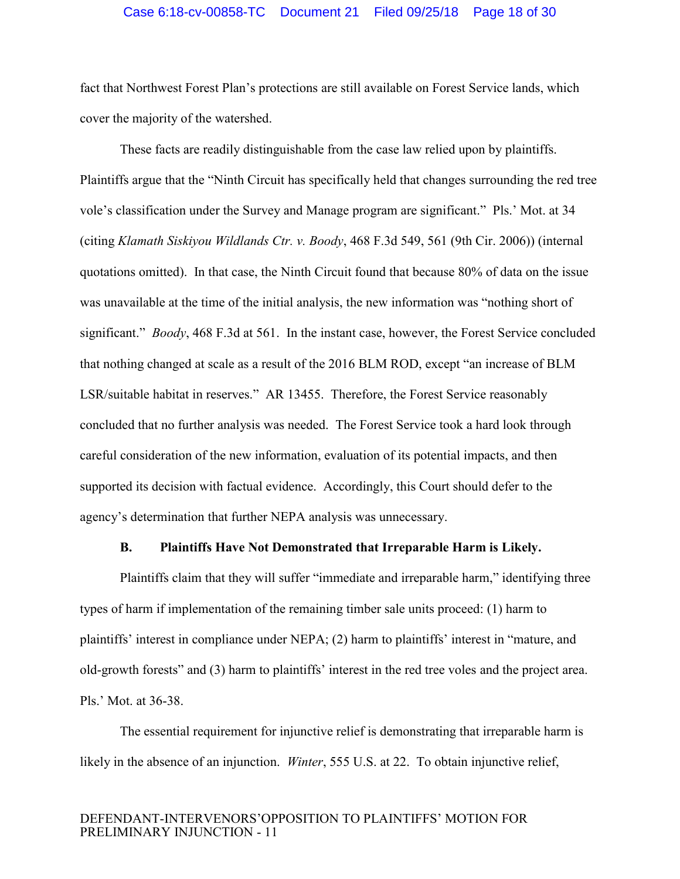#### Case 6:18-cv-00858-TC Document 21 Filed 09/25/18 Page 18 of 30

fact that Northwest Forest Plan's protections are still available on Forest Service lands, which cover the majority of the watershed.

<span id="page-17-1"></span>These facts are readily distinguishable from the case law relied upon by plaintiffs. Plaintiffs argue that the "Ninth Circuit has specifically held that changes surrounding the red tree vole's classification under the Survey and Manage program are significant." Pls.' Mot. at 34 (citing *Klamath Siskiyou Wildlands Ctr. v. Boody*, 468 F.3d 549, 561 (9th Cir. 2006)) (internal quotations omitted). In that case, the Ninth Circuit found that because 80% of data on the issue was unavailable at the time of the initial analysis, the new information was "nothing short of significant." *Boody*, 468 F.3d at 561. In the instant case, however, the Forest Service concluded that nothing changed at scale as a result of the 2016 BLM ROD, except "an increase of BLM LSR/suitable habitat in reserves." AR 13455. Therefore, the Forest Service reasonably concluded that no further analysis was needed. The Forest Service took a hard look through careful consideration of the new information, evaluation of its potential impacts, and then supported its decision with factual evidence. Accordingly, this Court should defer to the agency's determination that further NEPA analysis was unnecessary.

#### **B. Plaintiffs Have Not Demonstrated that Irreparable Harm is Likely.**

<span id="page-17-0"></span>Plaintiffs claim that they will suffer "immediate and irreparable harm," identifying three types of harm if implementation of the remaining timber sale units proceed: (1) harm to plaintiffs' interest in compliance under NEPA; (2) harm to plaintiffs' interest in "mature, and old-growth forests" and (3) harm to plaintiffs' interest in the red tree voles and the project area. Pls.' Mot. at 36-38.

<span id="page-17-2"></span>The essential requirement for injunctive relief is demonstrating that irreparable harm is likely in the absence of an injunction. *Winter*, 555 U.S. at 22. To obtain injunctive relief,

#### DEFENDANT-INTERVENORS'OPPOSITION TO PLAINTIFFS' MOTION FOR PRELIMINARY INJUNCTION - 11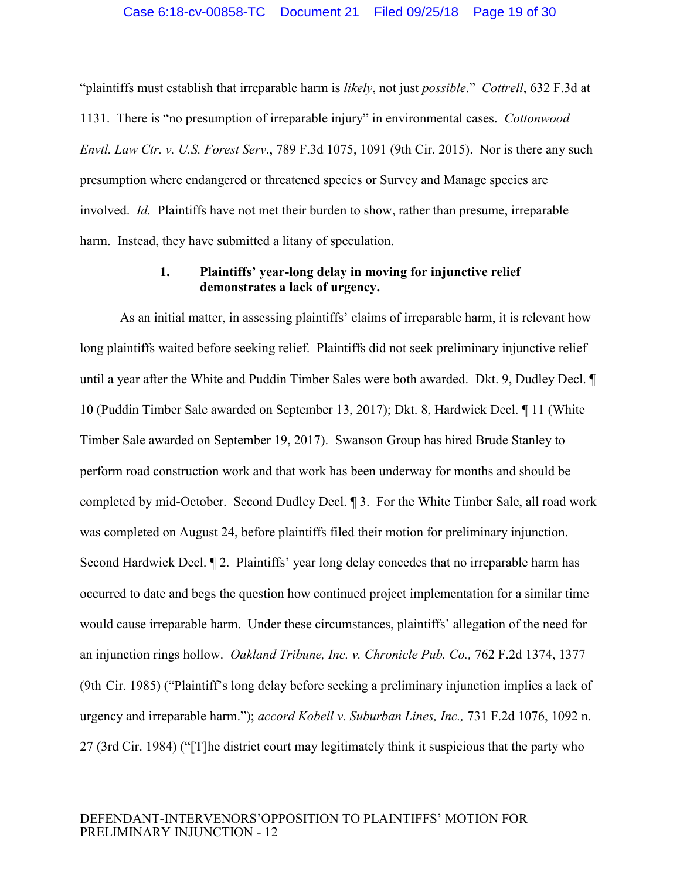"plaintiffs must establish that irreparable harm is *likely*, not just *possible*." *Cottrell*, 632 F.3d at 1131. There is "no presumption of irreparable injury" in environmental cases. *Cottonwood Envtl. Law Ctr. v. U.S. Forest Serv*., 789 F.3d 1075, 1091 (9th Cir. 2015). Nor is there any such presumption where endangered or threatened species or Survey and Manage species are involved. *Id.* Plaintiffs have not met their burden to show, rather than presume, irreparable harm. Instead, they have submitted a litany of speculation.

## <span id="page-18-2"></span><span id="page-18-1"></span><span id="page-18-0"></span>**1. Plaintiffs' year-long delay in moving for injunctive relief demonstrates a lack of urgency.**

<span id="page-18-4"></span><span id="page-18-3"></span>As an initial matter, in assessing plaintiffs' claims of irreparable harm, it is relevant how long plaintiffs waited before seeking relief. Plaintiffs did not seek preliminary injunctive relief until a year after the White and Puddin Timber Sales were both awarded. Dkt. 9, Dudley Decl. ¶ 10 (Puddin Timber Sale awarded on September 13, 2017); Dkt. 8, Hardwick Decl. ¶ 11 (White Timber Sale awarded on September 19, 2017). Swanson Group has hired Brude Stanley to perform road construction work and that work has been underway for months and should be completed by mid-October. Second Dudley Decl. ¶ 3. For the White Timber Sale, all road work was completed on August 24, before plaintiffs filed their motion for preliminary injunction. Second Hardwick Decl. ¶ 2. Plaintiffs' year long delay concedes that no irreparable harm has occurred to date and begs the question how continued project implementation for a similar time would cause irreparable harm. Under these circumstances, plaintiffs' allegation of the need for an injunction rings hollow. *Oakland Tribune, Inc. v. Chronicle Pub. Co.,* 762 F.2d 1374, 1377 (9th Cir. 1985) ("Plaintiff's long delay before seeking a preliminary injunction implies a lack of urgency and irreparable harm."); *accord Kobell v. Suburban Lines, Inc.,* 731 F.2d 1076, 1092 n. 27 (3rd Cir. 1984) ("[T]he district court may legitimately think it suspicious that the party who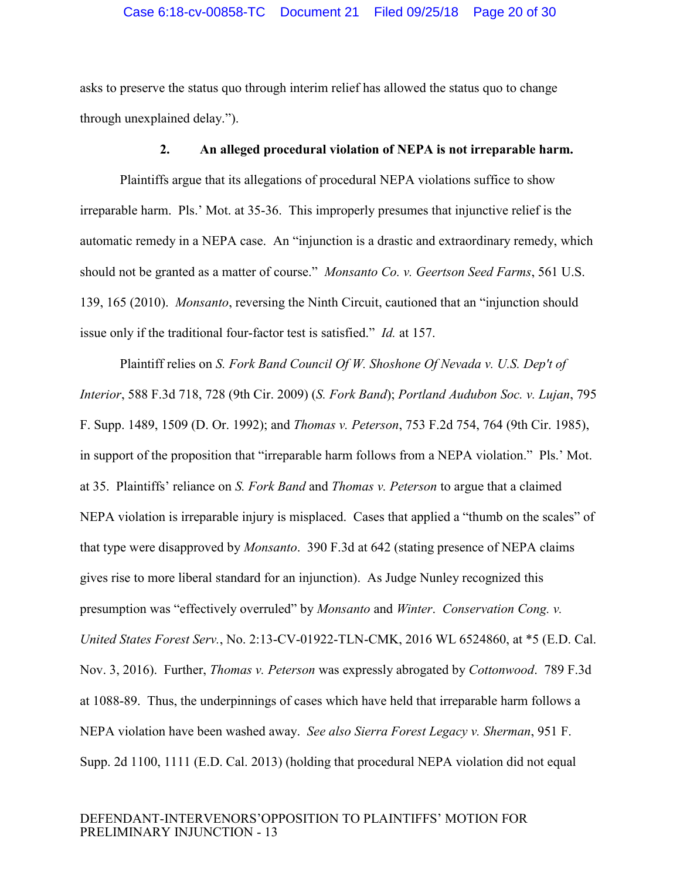#### Case 6:18-cv-00858-TC Document 21 Filed 09/25/18 Page 20 of 30

asks to preserve the status quo through interim relief has allowed the status quo to change through unexplained delay.").

### <span id="page-19-3"></span><span id="page-19-0"></span>**2. An alleged procedural violation of NEPA is not irreparable harm.**

Plaintiffs argue that its allegations of procedural NEPA violations suffice to show irreparable harm. Pls.' Mot. at 35-36. This improperly presumes that injunctive relief is the automatic remedy in a NEPA case. An "injunction is a drastic and extraordinary remedy, which should not be granted as a matter of course." *Monsanto Co. v. Geertson Seed Farms*, 561 U.S. 139, 165 (2010). *Monsanto*, reversing the Ninth Circuit, cautioned that an "injunction should issue only if the traditional four-factor test is satisfied." *Id.* at 157.

<span id="page-19-7"></span><span id="page-19-6"></span><span id="page-19-5"></span><span id="page-19-4"></span><span id="page-19-2"></span><span id="page-19-1"></span>Plaintiff relies on *S. Fork Band Council Of W. Shoshone Of Nevada v. U.S. Dep't of Interior*, 588 F.3d 718, 728 (9th Cir. 2009) (*S. Fork Band*); *Portland Audubon Soc. v. Lujan*, 795 F. Supp. 1489, 1509 (D. Or. 1992); and *Thomas v. Peterson*, 753 F.2d 754, 764 (9th Cir. 1985), in support of the proposition that "irreparable harm follows from a NEPA violation." Pls.' Mot. at 35. Plaintiffs' reliance on *S. Fork Band* and *Thomas v. Peterson* to argue that a claimed NEPA violation is irreparable injury is misplaced. Cases that applied a "thumb on the scales" of that type were disapproved by *Monsanto*. 390 F.3d at 642 (stating presence of NEPA claims gives rise to more liberal standard for an injunction). As Judge Nunley recognized this presumption was "effectively overruled" by *Monsanto* and *Winter*. *Conservation Cong. v. United States Forest Serv.*, No. 2:13-CV-01922-TLN-CMK, 2016 WL 6524860, at \*5 (E.D. Cal. Nov. 3, 2016). Further, *Thomas v. Peterson* was expressly abrogated by *Cottonwood*. 789 F.3d at 1088-89. Thus, the underpinnings of cases which have held that irreparable harm follows a NEPA violation have been washed away. *See also Sierra Forest Legacy v. Sherman*, 951 F. Supp. 2d 1100, 1111 (E.D. Cal. 2013) (holding that procedural NEPA violation did not equal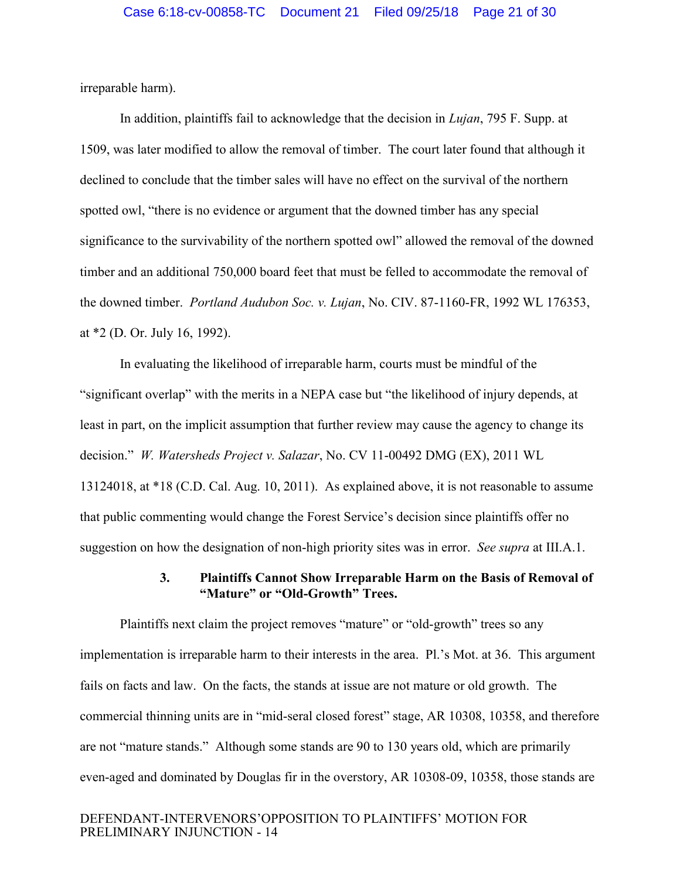irreparable harm).

<span id="page-20-1"></span>In addition, plaintiffs fail to acknowledge that the decision in *Lujan*, 795 F. Supp. at 1509, was later modified to allow the removal of timber. The court later found that although it declined to conclude that the timber sales will have no effect on the survival of the northern spotted owl, "there is no evidence or argument that the downed timber has any special significance to the survivability of the northern spotted owl" allowed the removal of the downed timber and an additional 750,000 board feet that must be felled to accommodate the removal of the downed timber. *Portland Audubon Soc. v. Lujan*, No. CIV. 87-1160-FR, 1992 WL 176353, at \*2 (D. Or. July 16, 1992).

<span id="page-20-3"></span><span id="page-20-2"></span>In evaluating the likelihood of irreparable harm, courts must be mindful of the "significant overlap" with the merits in a NEPA case but "the likelihood of injury depends, at least in part, on the implicit assumption that further review may cause the agency to change its decision." *W. Watersheds Project v. Salazar*, No. CV 11-00492 DMG (EX), 2011 WL 13124018, at \*18 (C.D. Cal. Aug. 10, 2011). As explained above, it is not reasonable to assume that public commenting would change the Forest Service's decision since plaintiffs offer no suggestion on how the designation of non-high priority sites was in error. *See supra* at III.A.1.

#### <span id="page-20-0"></span>**3. Plaintiffs Cannot Show Irreparable Harm on the Basis of Removal of "Mature" or "Old-Growth" Trees.**

Plaintiffs next claim the project removes "mature" or "old-growth" trees so any implementation is irreparable harm to their interests in the area. Pl.'s Mot. at 36. This argument fails on facts and law. On the facts, the stands at issue are not mature or old growth. The commercial thinning units are in "mid-seral closed forest" stage, AR 10308, 10358, and therefore are not "mature stands." Although some stands are 90 to 130 years old, which are primarily even-aged and dominated by Douglas fir in the overstory, AR 10308-09, 10358, those stands are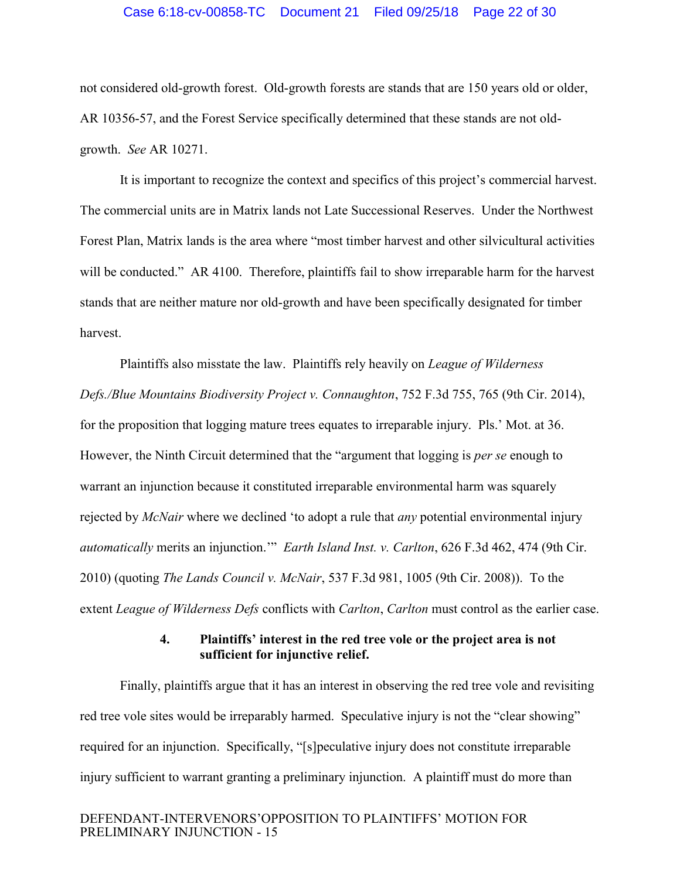#### Case 6:18-cv-00858-TC Document 21 Filed 09/25/18 Page 22 of 30

not considered old-growth forest. Old-growth forests are stands that are 150 years old or older, AR 10356-57, and the Forest Service specifically determined that these stands are not oldgrowth. *See* AR 10271.

It is important to recognize the context and specifics of this project's commercial harvest. The commercial units are in Matrix lands not Late Successional Reserves. Under the Northwest Forest Plan, Matrix lands is the area where "most timber harvest and other silvicultural activities will be conducted." AR 4100. Therefore, plaintiffs fail to show irreparable harm for the harvest stands that are neither mature nor old-growth and have been specifically designated for timber harvest.

<span id="page-21-3"></span>Plaintiffs also misstate the law. Plaintiffs rely heavily on *League of Wilderness Defs./Blue Mountains Biodiversity Project v. Connaughton*, 752 F.3d 755, 765 (9th Cir. 2014), for the proposition that logging mature trees equates to irreparable injury. Pls.' Mot. at 36. However, the Ninth Circuit determined that the "argument that logging is *per se* enough to warrant an injunction because it constituted irreparable environmental harm was squarely rejected by *McNair* where we declined 'to adopt a rule that *any* potential environmental injury *automatically* merits an injunction.'" *Earth Island Inst. v. Carlton*, 626 F.3d 462, 474 (9th Cir. 2010) (quoting *The Lands Council v. McNair*, 537 F.3d 981, 1005 (9th Cir. 2008)). To the extent *League of Wilderness Defs* conflicts with *Carlton*, *Carlton* must control as the earlier case.

## <span id="page-21-2"></span><span id="page-21-1"></span>**4. Plaintiffs' interest in the red tree vole or the project area is not sufficient for injunctive relief.**

<span id="page-21-0"></span>Finally, plaintiffs argue that it has an interest in observing the red tree vole and revisiting red tree vole sites would be irreparably harmed. Speculative injury is not the "clear showing" required for an injunction. Specifically, "[s]peculative injury does not constitute irreparable injury sufficient to warrant granting a preliminary injunction. A plaintiff must do more than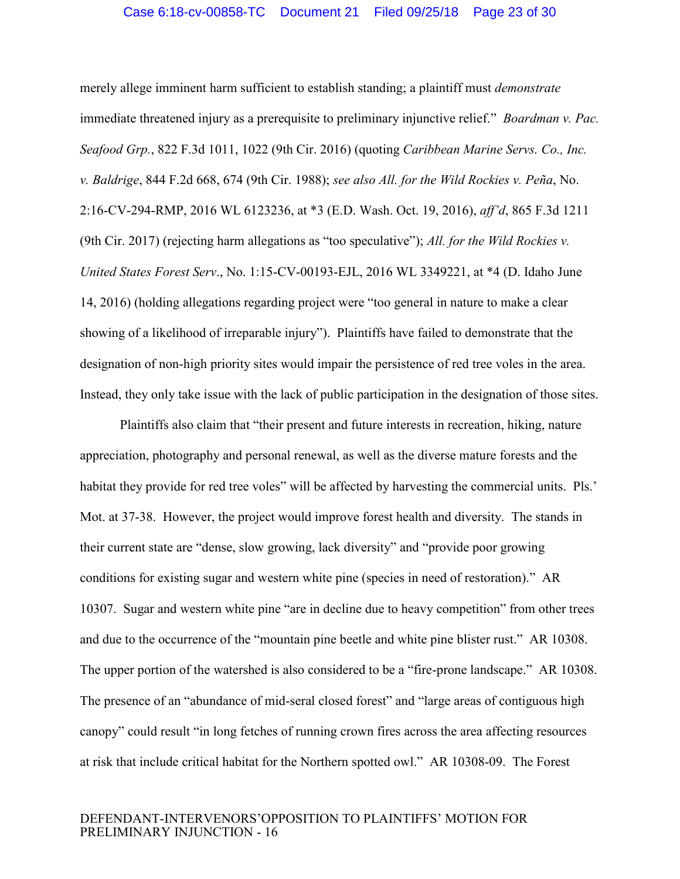<span id="page-22-3"></span><span id="page-22-2"></span><span id="page-22-1"></span><span id="page-22-0"></span>merely allege imminent harm sufficient to establish standing; a plaintiff must *demonstrate* immediate threatened injury as a prerequisite to preliminary injunctive relief." *Boardman v. Pac. Seafood Grp.*, 822 F.3d 1011, 1022 (9th Cir. 2016) (quoting *Caribbean Marine Servs. Co., Inc. v. Baldrige*, 844 F.2d 668, 674 (9th Cir. 1988); *see also All. for the Wild Rockies v. Peña*, No. 2:16-CV-294-RMP, 2016 WL 6123236, at \*3 (E.D. Wash. Oct. 19, 2016), *aff'd*, 865 F.3d 1211 (9th Cir. 2017) (rejecting harm allegations as "too speculative"); *All. for the Wild Rockies v. United States Forest Serv*., No. 1:15-CV-00193-EJL, 2016 WL 3349221, at \*4 (D. Idaho June 14, 2016) (holding allegations regarding project were "too general in nature to make a clear showing of a likelihood of irreparable injury"). Plaintiffs have failed to demonstrate that the designation of non-high priority sites would impair the persistence of red tree voles in the area. Instead, they only take issue with the lack of public participation in the designation of those sites.

Plaintiffs also claim that "their present and future interests in recreation, hiking, nature appreciation, photography and personal renewal, as well as the diverse mature forests and the habitat they provide for red tree voles" will be affected by harvesting the commercial units. Pls.' Mot. at 37-38. However, the project would improve forest health and diversity. The stands in their current state are "dense, slow growing, lack diversity" and "provide poor growing conditions for existing sugar and western white pine (species in need of restoration)." AR 10307. Sugar and western white pine "are in decline due to heavy competition" from other trees and due to the occurrence of the "mountain pine beetle and white pine blister rust." AR 10308. The upper portion of the watershed is also considered to be a "fire-prone landscape." AR 10308. The presence of an "abundance of mid-seral closed forest" and "large areas of contiguous high canopy" could result "in long fetches of running crown fires across the area affecting resources at risk that include critical habitat for the Northern spotted owl." AR 10308-09. The Forest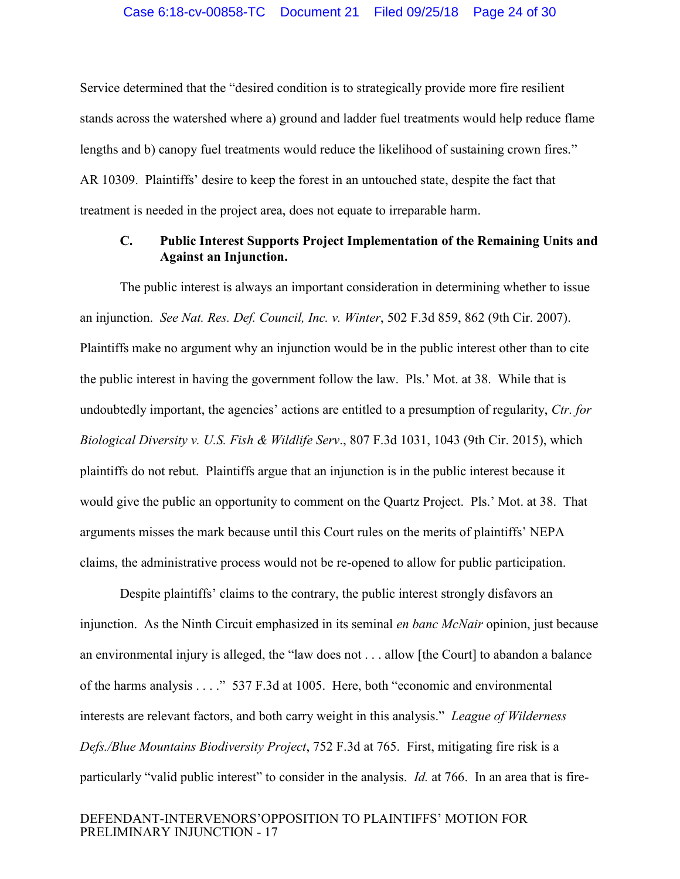Service determined that the "desired condition is to strategically provide more fire resilient stands across the watershed where a) ground and ladder fuel treatments would help reduce flame lengths and b) canopy fuel treatments would reduce the likelihood of sustaining crown fires." AR 10309. Plaintiffs' desire to keep the forest in an untouched state, despite the fact that treatment is needed in the project area, does not equate to irreparable harm.

## <span id="page-23-4"></span><span id="page-23-1"></span><span id="page-23-0"></span>**C. Public Interest Supports Project Implementation of the Remaining Units and Against an Injunction.**

The public interest is always an important consideration in determining whether to issue an injunction. *See Nat. Res. Def. Council, Inc. v. Winter*, 502 F.3d 859, 862 (9th Cir. 2007). Plaintiffs make no argument why an injunction would be in the public interest other than to cite the public interest in having the government follow the law. Pls.' Mot. at 38. While that is undoubtedly important, the agencies' actions are entitled to a presumption of regularity, *Ctr. for Biological Diversity v. U.S. Fish & Wildlife Serv*., 807 F.3d 1031, 1043 (9th Cir. 2015), which plaintiffs do not rebut. Plaintiffs argue that an injunction is in the public interest because it would give the public an opportunity to comment on the Quartz Project. Pls.' Mot. at 38. That arguments misses the mark because until this Court rules on the merits of plaintiffs' NEPA claims, the administrative process would not be re-opened to allow for public participation.

<span id="page-23-3"></span><span id="page-23-2"></span>Despite plaintiffs' claims to the contrary, the public interest strongly disfavors an injunction. As the Ninth Circuit emphasized in its seminal *en banc McNair* opinion, just because an environmental injury is alleged, the "law does not . . . allow [the Court] to abandon a balance of the harms analysis . . . ." 537 F.3d at 1005. Here, both "economic and environmental interests are relevant factors, and both carry weight in this analysis." *League of Wilderness Defs./Blue Mountains Biodiversity Project*, 752 F.3d at 765. First, mitigating fire risk is a particularly "valid public interest" to consider in the analysis. *Id.* at 766. In an area that is fire-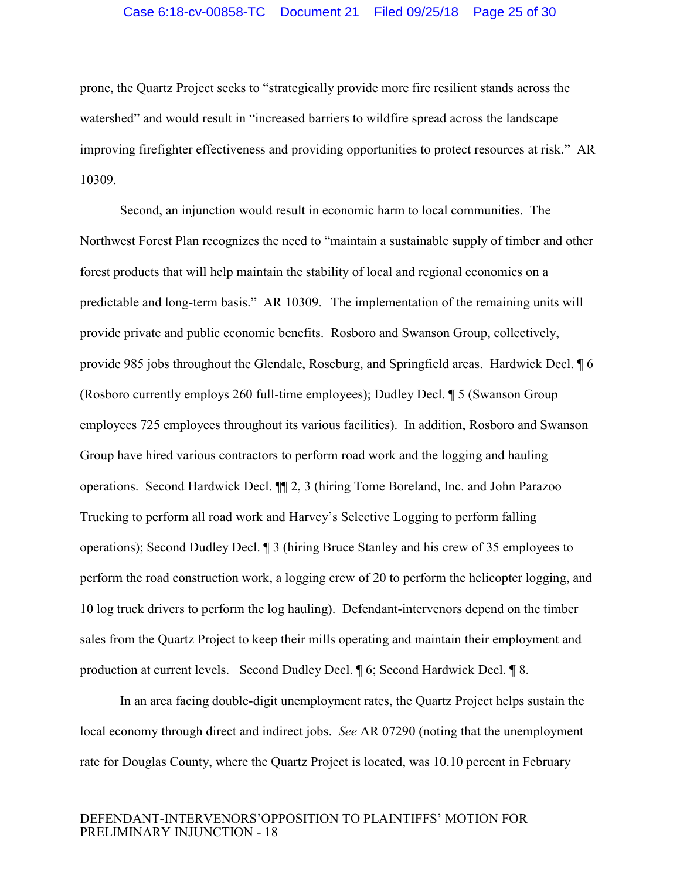#### Case 6:18-cv-00858-TC Document 21 Filed 09/25/18 Page 25 of 30

prone, the Quartz Project seeks to "strategically provide more fire resilient stands across the watershed" and would result in "increased barriers to wildfire spread across the landscape improving firefighter effectiveness and providing opportunities to protect resources at risk." AR 10309.

Second, an injunction would result in economic harm to local communities. The Northwest Forest Plan recognizes the need to "maintain a sustainable supply of timber and other forest products that will help maintain the stability of local and regional economics on a predictable and long-term basis." AR 10309. The implementation of the remaining units will provide private and public economic benefits. Rosboro and Swanson Group, collectively, provide 985 jobs throughout the Glendale, Roseburg, and Springfield areas. Hardwick Decl. ¶ 6 (Rosboro currently employs 260 full-time employees); Dudley Decl. ¶ 5 (Swanson Group employees 725 employees throughout its various facilities). In addition, Rosboro and Swanson Group have hired various contractors to perform road work and the logging and hauling operations. Second Hardwick Decl. ¶¶ 2, 3 (hiring Tome Boreland, Inc. and John Parazoo Trucking to perform all road work and Harvey's Selective Logging to perform falling operations); Second Dudley Decl. ¶ 3 (hiring Bruce Stanley and his crew of 35 employees to perform the road construction work, a logging crew of 20 to perform the helicopter logging, and 10 log truck drivers to perform the log hauling). Defendant-intervenors depend on the timber sales from the Quartz Project to keep their mills operating and maintain their employment and production at current levels. Second Dudley Decl. ¶ 6; Second Hardwick Decl. ¶ 8.

In an area facing double-digit unemployment rates, the Quartz Project helps sustain the local economy through direct and indirect jobs. *See* AR 07290 (noting that the unemployment rate for Douglas County, where the Quartz Project is located, was 10.10 percent in February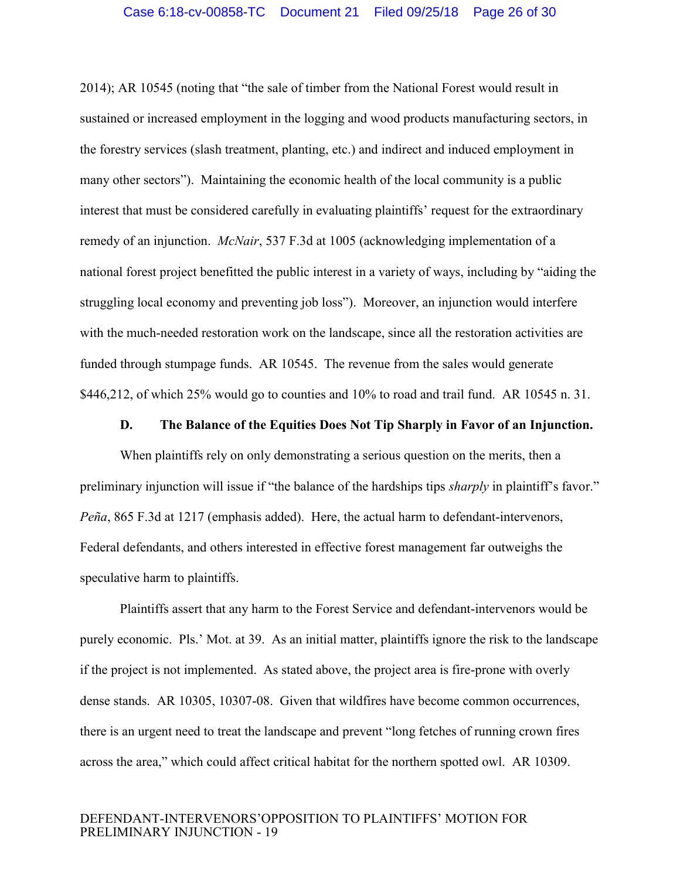<span id="page-25-2"></span>2014); AR 10545 (noting that "the sale of timber from the National Forest would result in sustained or increased employment in the logging and wood products manufacturing sectors, in the forestry services (slash treatment, planting, etc.) and indirect and induced employment in many other sectors"). Maintaining the economic health of the local community is a public interest that must be considered carefully in evaluating plaintiffs' request for the extraordinary remedy of an injunction. *McNair*, 537 F.3d at 1005 (acknowledging implementation of a national forest project benefitted the public interest in a variety of ways, including by "aiding the struggling local economy and preventing job loss"). Moreover, an injunction would interfere with the much-needed restoration work on the landscape, since all the restoration activities are funded through stumpage funds. AR 10545. The revenue from the sales would generate \$446,212, of which 25% would go to counties and 10% to road and trail fund. AR 10545 n. 31.

#### **D. The Balance of the Equities Does Not Tip Sharply in Favor of an Injunction.**

<span id="page-25-1"></span><span id="page-25-0"></span>When plaintiffs rely on only demonstrating a serious question on the merits, then a preliminary injunction will issue if "the balance of the hardships tips *sharply* in plaintiff's favor." *Peña*, 865 F.3d at 1217 (emphasis added). Here, the actual harm to defendant-intervenors, Federal defendants, and others interested in effective forest management far outweighs the speculative harm to plaintiffs.

Plaintiffs assert that any harm to the Forest Service and defendant-intervenors would be purely economic. Pls.' Mot. at 39. As an initial matter, plaintiffs ignore the risk to the landscape if the project is not implemented. As stated above, the project area is fire-prone with overly dense stands. AR 10305, 10307-08. Given that wildfires have become common occurrences, there is an urgent need to treat the landscape and prevent "long fetches of running crown fires across the area," which could affect critical habitat for the northern spotted owl. AR 10309.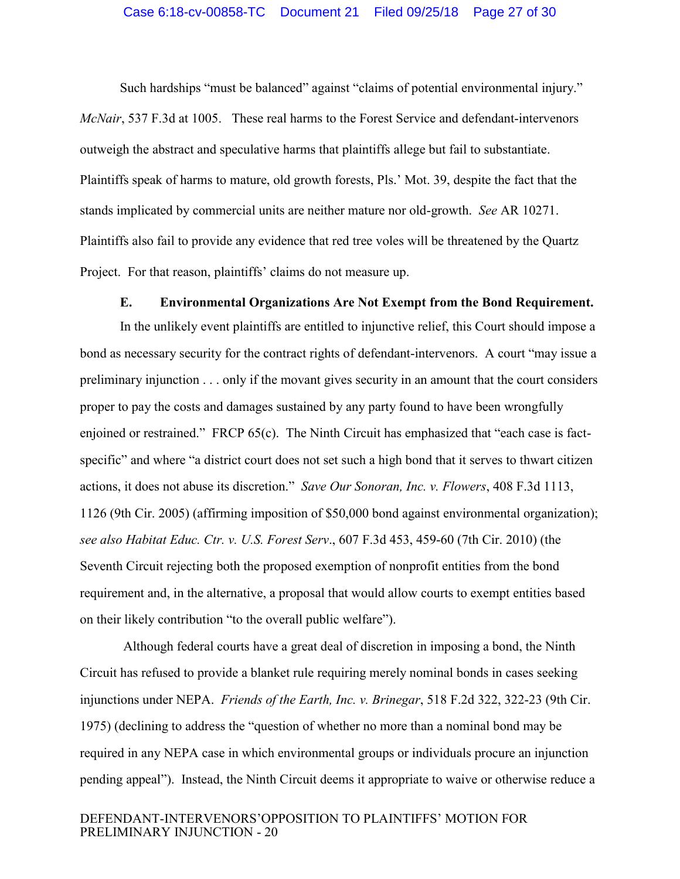<span id="page-26-3"></span>Such hardships "must be balanced" against "claims of potential environmental injury." *McNair*, 537 F.3d at 1005. These real harms to the Forest Service and defendant-intervenors outweigh the abstract and speculative harms that plaintiffs allege but fail to substantiate. Plaintiffs speak of harms to mature, old growth forests, Pls.' Mot. 39, despite the fact that the stands implicated by commercial units are neither mature nor old-growth. *See* AR 10271. Plaintiffs also fail to provide any evidence that red tree voles will be threatened by the Quartz Project. For that reason, plaintiffs' claims do not measure up.

### <span id="page-26-4"></span>**E. Environmental Organizations Are Not Exempt from the Bond Requirement.**

<span id="page-26-0"></span>In the unlikely event plaintiffs are entitled to injunctive relief, this Court should impose a bond as necessary security for the contract rights of defendant-intervenors. A court "may issue a preliminary injunction . . . only if the movant gives security in an amount that the court considers proper to pay the costs and damages sustained by any party found to have been wrongfully enjoined or restrained." FRCP 65(c). The Ninth Circuit has emphasized that "each case is factspecific" and where "a district court does not set such a high bond that it serves to thwart citizen actions, it does not abuse its discretion." *Save Our Sonoran, Inc. v. Flowers*, 408 F.3d 1113, 1126 (9th Cir. 2005) (affirming imposition of \$50,000 bond against environmental organization); *see also Habitat Educ. Ctr. v. U.S. Forest Serv*., 607 F.3d 453, 459-60 (7th Cir. 2010) (the Seventh Circuit rejecting both the proposed exemption of nonprofit entities from the bond requirement and, in the alternative, a proposal that would allow courts to exempt entities based on their likely contribution "to the overall public welfare").

<span id="page-26-2"></span><span id="page-26-1"></span>Although federal courts have a great deal of discretion in imposing a bond, the Ninth Circuit has refused to provide a blanket rule requiring merely nominal bonds in cases seeking injunctions under NEPA. *Friends of the Earth, Inc. v. Brinegar*, 518 F.2d 322, 322-23 (9th Cir. 1975) (declining to address the "question of whether no more than a nominal bond may be required in any NEPA case in which environmental groups or individuals procure an injunction pending appeal"). Instead, the Ninth Circuit deems it appropriate to waive or otherwise reduce a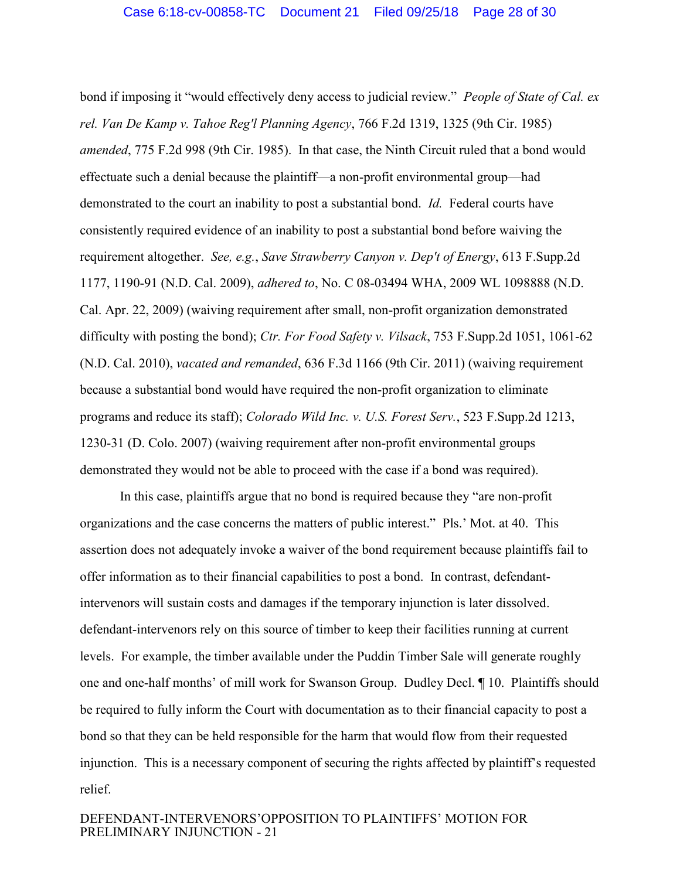<span id="page-27-3"></span><span id="page-27-2"></span>bond if imposing it "would effectively deny access to judicial review." *People of State of Cal. ex rel. Van De Kamp v. Tahoe Reg'l Planning Agency*, 766 F.2d 1319, 1325 (9th Cir. 1985) *amended*, 775 F.2d 998 (9th Cir. 1985). In that case, the Ninth Circuit ruled that a bond would effectuate such a denial because the plaintiff—a non-profit environmental group—had demonstrated to the court an inability to post a substantial bond. *Id.* Federal courts have consistently required evidence of an inability to post a substantial bond before waiving the requirement altogether. *See, e.g.*, *Save Strawberry Canyon v. Dep't of Energy*, 613 F.Supp.2d 1177, 1190-91 (N.D. Cal. 2009), *adhered to*, No. C 08-03494 WHA, 2009 WL 1098888 (N.D. Cal. Apr. 22, 2009) (waiving requirement after small, non-profit organization demonstrated difficulty with posting the bond); *Ctr. For Food Safety v. Vilsack*, 753 F.Supp.2d 1051, 1061-62 (N.D. Cal. 2010), *vacated and remanded*, 636 F.3d 1166 (9th Cir. 2011) (waiving requirement because a substantial bond would have required the non-profit organization to eliminate programs and reduce its staff); *Colorado Wild Inc. v. U.S. Forest Serv.*, 523 F.Supp.2d 1213, 1230-31 (D. Colo. 2007) (waiving requirement after non-profit environmental groups demonstrated they would not be able to proceed with the case if a bond was required).

<span id="page-27-1"></span><span id="page-27-0"></span>In this case, plaintiffs argue that no bond is required because they "are non-profit organizations and the case concerns the matters of public interest." Pls.' Mot. at 40. This assertion does not adequately invoke a waiver of the bond requirement because plaintiffs fail to offer information as to their financial capabilities to post a bond. In contrast, defendantintervenors will sustain costs and damages if the temporary injunction is later dissolved. defendant-intervenors rely on this source of timber to keep their facilities running at current levels. For example, the timber available under the Puddin Timber Sale will generate roughly one and one-half months' of mill work for Swanson Group. Dudley Decl. ¶ 10. Plaintiffs should be required to fully inform the Court with documentation as to their financial capacity to post a bond so that they can be held responsible for the harm that would flow from their requested injunction. This is a necessary component of securing the rights affected by plaintiff's requested relief.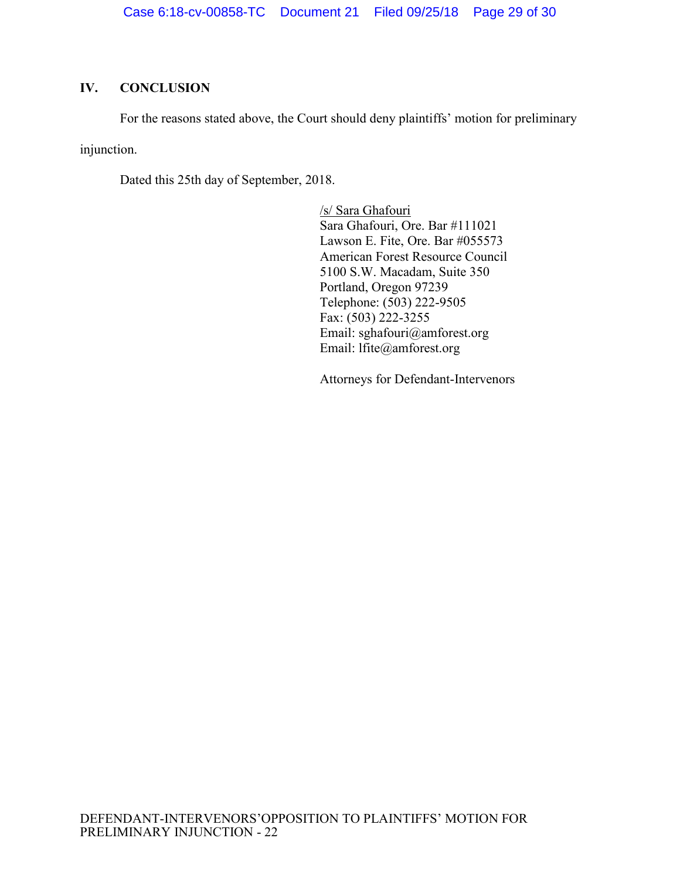# <span id="page-28-0"></span>**IV. CONCLUSION**

For the reasons stated above, the Court should deny plaintiffs' motion for preliminary

injunction.

Dated this 25th day of September, 2018.

/s/ Sara Ghafouri Sara Ghafouri, Ore. Bar #111021 Lawson E. Fite, Ore. Bar #055573 American Forest Resource Council 5100 S.W. Macadam, Suite 350 Portland, Oregon 97239 Telephone: (503) 222-9505 Fax:  $(503)$  222-3255 Email: sghafouri@amforest.org Email: lfite@amforest.org

Attorneys for Defendant-Intervenors